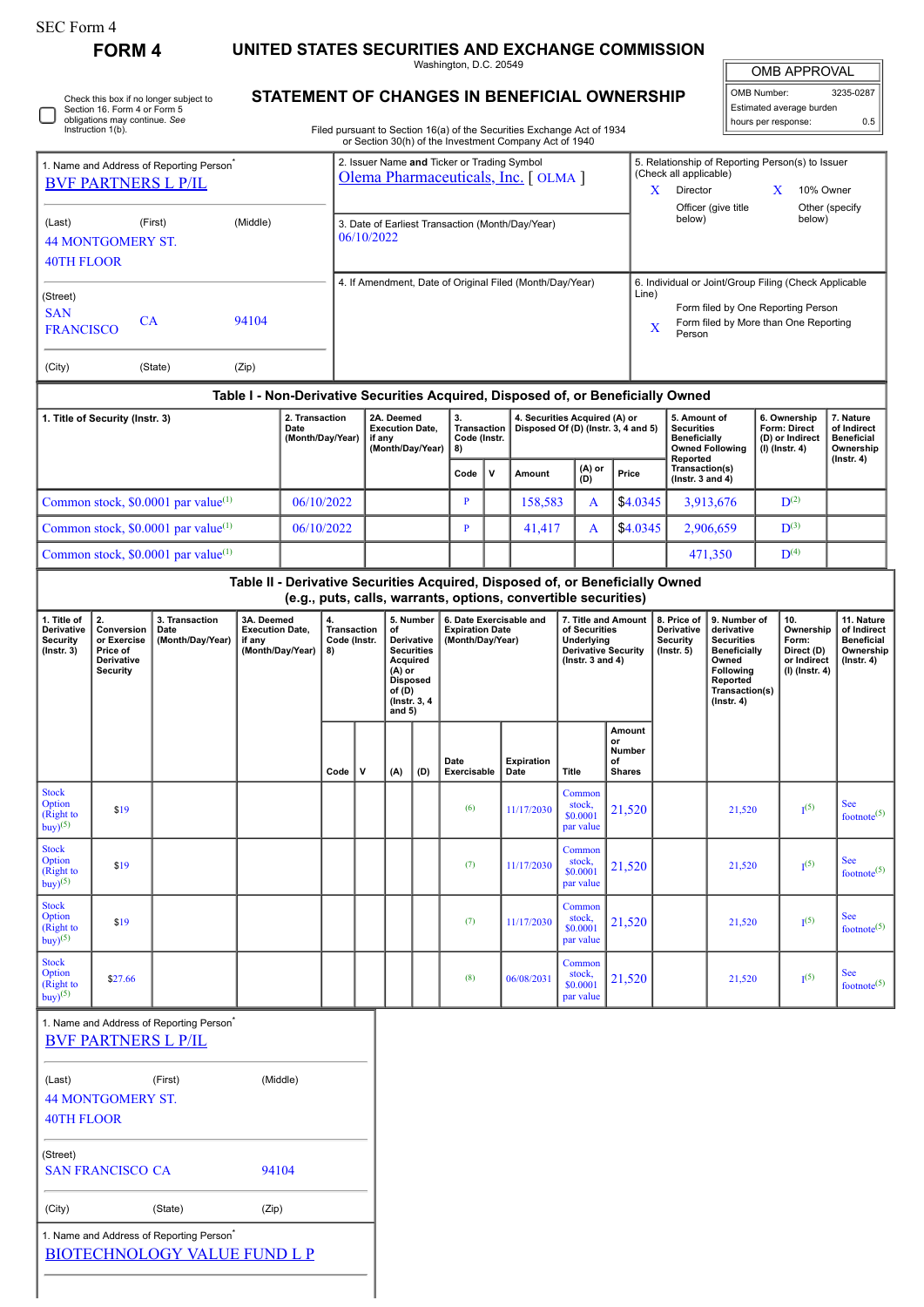□

1. Name and Address of Reporting Person<sup>\*</sup>

**FORM 4 UNITED STATES SECURITIES AND EXCHANGE COMMISSION**

Washington, D.C. 20549

OMB APPROVAL

| OMB Number:<br>3235-0287   |  |  |  |  |  |
|----------------------------|--|--|--|--|--|
| Estimated average burden   |  |  |  |  |  |
| hours per response:<br>0.5 |  |  |  |  |  |

Check this box if no longer subject to Section 16. Form 4 or Form 5 obligations may continue. *See* Instruction 1(b).

## **STATEMENT OF CHANGES IN BENEFICIAL OWNERSHIP**

Filed pursuant to Section 16(a) of the Securities Exchange Act of 1934 or Section 30(h) of the Investment Company Act of 1940

| 1. Name and Address of Reporting Person <sup>7</sup><br><b>BVF PARTNERS L P/IL</b>                                                                                |                                                                       |                                                                                             |                                                                    |            | 2. Issuer Name and Ticker or Trading Symbol<br>Olema Pharmaceuticals, Inc. [OLMA]                                           |   |                                                |                                                                                  |                                                                                                            |   |                                                                                                                                     |                                                                                                                                                              | 5. Relationship of Reporting Person(s) to Issuer<br>(Check all applicable)<br>Director<br>X<br>X<br>10% Owner |                                                                 |                                                                                                                                                |           |                                                                          |                                                                          |                                                    |
|-------------------------------------------------------------------------------------------------------------------------------------------------------------------|-----------------------------------------------------------------------|---------------------------------------------------------------------------------------------|--------------------------------------------------------------------|------------|-----------------------------------------------------------------------------------------------------------------------------|---|------------------------------------------------|----------------------------------------------------------------------------------|------------------------------------------------------------------------------------------------------------|---|-------------------------------------------------------------------------------------------------------------------------------------|--------------------------------------------------------------------------------------------------------------------------------------------------------------|---------------------------------------------------------------------------------------------------------------|-----------------------------------------------------------------|------------------------------------------------------------------------------------------------------------------------------------------------|-----------|--------------------------------------------------------------------------|--------------------------------------------------------------------------|----------------------------------------------------|
| (Middle)<br>(Last)<br>(First)<br><b>44 MONTGOMERY ST.</b><br>40TH FLOOR                                                                                           |                                                                       |                                                                                             |                                                                    |            | Officer (give title<br>Other (specify<br>below)<br>below)<br>3. Date of Earliest Transaction (Month/Day/Year)<br>06/10/2022 |   |                                                |                                                                                  |                                                                                                            |   |                                                                                                                                     |                                                                                                                                                              |                                                                                                               |                                                                 |                                                                                                                                                |           |                                                                          |                                                                          |                                                    |
| (Street)<br><b>SAN</b><br>CA<br>94104<br><b>FRANCISCO</b>                                                                                                         |                                                                       |                                                                                             |                                                                    |            | 4. If Amendment, Date of Original Filed (Month/Day/Year)                                                                    |   |                                                |                                                                                  |                                                                                                            |   |                                                                                                                                     | 6. Individual or Joint/Group Filing (Check Applicable<br>Line)<br>Form filed by One Reporting Person<br>Form filed by More than One Reporting<br>X<br>Person |                                                                                                               |                                                                 |                                                                                                                                                |           |                                                                          |                                                                          |                                                    |
| (City)                                                                                                                                                            |                                                                       | (State)                                                                                     | (Zip)                                                              |            |                                                                                                                             |   |                                                |                                                                                  |                                                                                                            |   |                                                                                                                                     |                                                                                                                                                              |                                                                                                               |                                                                 |                                                                                                                                                |           |                                                                          |                                                                          |                                                    |
| Table I - Non-Derivative Securities Acquired, Disposed of, or Beneficially Owned<br>2. Transaction<br>1. Title of Security (Instr. 3)<br>Date<br>(Month/Day/Year) |                                                                       |                                                                                             |                                                                    |            | 2A. Deemed<br><b>Execution Date,</b><br>if any<br>(Month/Day/Year)                                                          |   |                                                | 3.<br>8)                                                                         | 4. Securities Acquired (A) or<br><b>Transaction</b><br>Disposed Of (D) (Instr. 3, 4 and 5)<br>Code (Instr. |   |                                                                                                                                     |                                                                                                                                                              | 5. Amount of<br><b>Securities</b><br><b>Beneficially</b><br><b>Owned Following</b><br>Reported                |                                                                 | 6. Ownership<br>Form: Direct<br>(D) or Indirect<br>$(I)$ (Instr. 4)                                                                            |           | 7. Nature<br>of Indirect<br><b>Beneficial</b><br>Ownership               |                                                                          |                                                    |
|                                                                                                                                                                   |                                                                       |                                                                                             |                                                                    |            |                                                                                                                             |   |                                                |                                                                                  | Code                                                                                                       | v | Amount                                                                                                                              | (A) or<br>(D)                                                                                                                                                |                                                                                                               | Price                                                           | Transaction(s)<br>(Instr. 3 and $4)$                                                                                                           |           |                                                                          |                                                                          | $($ Instr. 4 $)$                                   |
|                                                                                                                                                                   |                                                                       | Common stock, \$0.0001 par value <sup>(1)</sup>                                             |                                                                    | 06/10/2022 |                                                                                                                             |   |                                                |                                                                                  | P                                                                                                          |   | 158,583                                                                                                                             | A                                                                                                                                                            |                                                                                                               | \$4.0345                                                        |                                                                                                                                                | 3,913,676 |                                                                          | $D^{(2)}$                                                                |                                                    |
|                                                                                                                                                                   |                                                                       | Common stock, \$0.0001 par value <sup>(1)</sup>                                             |                                                                    | 06/10/2022 |                                                                                                                             |   |                                                |                                                                                  | $\overline{P}$                                                                                             |   | 41,417                                                                                                                              | A                                                                                                                                                            |                                                                                                               | \$4.0345                                                        |                                                                                                                                                | 2,906,659 |                                                                          | $\mathbf{D}^{(3)}$                                                       |                                                    |
|                                                                                                                                                                   |                                                                       | Common stock, \$0.0001 par value <sup>(1)</sup>                                             |                                                                    |            |                                                                                                                             |   |                                                |                                                                                  |                                                                                                            |   | Table II - Derivative Securities Acquired, Disposed of, or Beneficially Owned                                                       |                                                                                                                                                              |                                                                                                               |                                                                 |                                                                                                                                                | 471,350   |                                                                          | $\mathbf{D}^{(4)}$                                                       |                                                    |
|                                                                                                                                                                   |                                                                       |                                                                                             |                                                                    |            |                                                                                                                             |   |                                                |                                                                                  |                                                                                                            |   | (e.g., puts, calls, warrants, options, convertible securities)                                                                      |                                                                                                                                                              |                                                                                                               |                                                                 |                                                                                                                                                |           |                                                                          |                                                                          |                                                    |
| 1. Title of<br>Derivative<br><b>Security</b><br>$($ Instr. 3 $)$                                                                                                  | 2.<br>Conversion<br>or Exercise<br>Price of<br>Derivative<br>Security | 3. Transaction<br>Date<br>(Month/Day/Year)                                                  | 3A. Deemed<br><b>Execution Date,</b><br>if any<br>(Month/Day/Year) |            | 4.<br><b>Transaction</b><br>Code (Instr.<br>8)                                                                              |   | of<br>Acquired<br>(A) or<br>of (D)<br>and $5)$ | 5. Number<br>Derivative<br><b>Securities</b><br><b>Disposed</b><br>(Instr. 3, 4) | <b>Expiration Date</b><br>(Month/Day/Year)                                                                 |   | 6. Date Exercisable and<br>7. Title and Amount<br>of Securities<br>Underlying<br><b>Derivative Security</b><br>( $lnstr. 3 and 4$ ) |                                                                                                                                                              |                                                                                                               | 8. Price of<br>Derivative<br><b>Security</b><br>$($ Instr. $5)$ | 9. Number of<br>derivative<br><b>Securities</b><br><b>Beneficially</b><br>Owned<br>Following<br>Reported<br>Transaction(s)<br>$($ Instr. 4 $)$ |           | 10.<br>Ownership<br>Form:<br>Direct (D)<br>or Indirect<br>(I) (Instr. 4) | 11. Nature<br>of Indirect<br>Beneficial<br>Ownership<br>$($ lnstr. 4 $)$ |                                                    |
|                                                                                                                                                                   |                                                                       |                                                                                             |                                                                    |            | Code                                                                                                                        | v | (A)                                            | (D)                                                                              | Date<br>Exercisable                                                                                        |   | <b>Expiration</b><br>Date                                                                                                           | <b>Title</b>                                                                                                                                                 | or<br>of<br><b>Shares</b>                                                                                     | Amount<br>Number                                                |                                                                                                                                                |           |                                                                          |                                                                          |                                                    |
| <b>Stock</b><br>Option<br>(Right to<br>$buy)^{(5)}$                                                                                                               | \$19                                                                  |                                                                                             |                                                                    |            |                                                                                                                             |   |                                                |                                                                                  | (6)                                                                                                        |   | 11/17/2030                                                                                                                          | Common<br>stock,<br>\$0.0001<br>par value                                                                                                                    |                                                                                                               | 21,520                                                          |                                                                                                                                                | 21,520    |                                                                          | I <sup>(5)</sup>                                                         | <b>See</b><br>footnote <sup><math>(5)</math></sup> |
| <b>Stock</b><br>Option<br>(Right to<br>$buy)^{(5)}$                                                                                                               | \$19                                                                  |                                                                                             |                                                                    |            |                                                                                                                             |   |                                                |                                                                                  | (7)                                                                                                        |   | 11/17/2030                                                                                                                          | Common<br>stock,<br>\$0.0001<br>par value                                                                                                                    |                                                                                                               | 21,520                                                          |                                                                                                                                                | 21,520    |                                                                          | $I^{(5)}$                                                                | <b>See</b><br>footnote <sup><math>(5)</math></sup> |
| <b>Stock</b><br>Option<br>(Right to<br>buy) <sup>(5)</sup>                                                                                                        | \$19                                                                  |                                                                                             |                                                                    |            |                                                                                                                             |   |                                                |                                                                                  | (7)                                                                                                        |   | 11/17/2030                                                                                                                          | Common<br>stock,<br>\$0.0001<br>par value                                                                                                                    |                                                                                                               | 21,520                                                          |                                                                                                                                                | 21,520    |                                                                          | I <sup>(5)</sup>                                                         | <b>See</b><br>footnote <sup><math>(5)</math></sup> |
| <b>Stock</b><br>Option<br>(Right to<br>buy) <sup>(5)</sup>                                                                                                        | \$27.66                                                               |                                                                                             |                                                                    |            |                                                                                                                             |   |                                                |                                                                                  | (8)                                                                                                        |   | 06/08/2031                                                                                                                          | Common<br>stock,<br>\$0.0001<br>par value                                                                                                                    |                                                                                                               | 21,520                                                          |                                                                                                                                                | 21,520    |                                                                          | $I^{(5)}$                                                                | <b>See</b><br>footnote <sup>(5)</sup>              |
|                                                                                                                                                                   | <b>BVF PARTNERS L P/IL</b>                                            | 1. Name and Address of Reporting Person                                                     |                                                                    |            |                                                                                                                             |   |                                                |                                                                                  |                                                                                                            |   |                                                                                                                                     |                                                                                                                                                              |                                                                                                               |                                                                 |                                                                                                                                                |           |                                                                          |                                                                          |                                                    |
| (Last)<br><b>40TH FLOOR</b>                                                                                                                                       | <b>44 MONTGOMERY ST.</b>                                              | (First)                                                                                     |                                                                    | (Middle)   |                                                                                                                             |   |                                                |                                                                                  |                                                                                                            |   |                                                                                                                                     |                                                                                                                                                              |                                                                                                               |                                                                 |                                                                                                                                                |           |                                                                          |                                                                          |                                                    |
| (Street)<br>94104<br><b>SAN FRANCISCO CA</b>                                                                                                                      |                                                                       |                                                                                             |                                                                    |            |                                                                                                                             |   |                                                |                                                                                  |                                                                                                            |   |                                                                                                                                     |                                                                                                                                                              |                                                                                                               |                                                                 |                                                                                                                                                |           |                                                                          |                                                                          |                                                    |
| (City)                                                                                                                                                            |                                                                       | (State)                                                                                     | (Zip)                                                              |            |                                                                                                                             |   |                                                |                                                                                  |                                                                                                            |   |                                                                                                                                     |                                                                                                                                                              |                                                                                                               |                                                                 |                                                                                                                                                |           |                                                                          |                                                                          |                                                    |
|                                                                                                                                                                   |                                                                       | 1. Name and Address of Reporting Person <sup>*</sup><br><b>BIOTECHNOLOGY VALUE FUND L P</b> |                                                                    |            |                                                                                                                             |   |                                                |                                                                                  |                                                                                                            |   |                                                                                                                                     |                                                                                                                                                              |                                                                                                               |                                                                 |                                                                                                                                                |           |                                                                          |                                                                          |                                                    |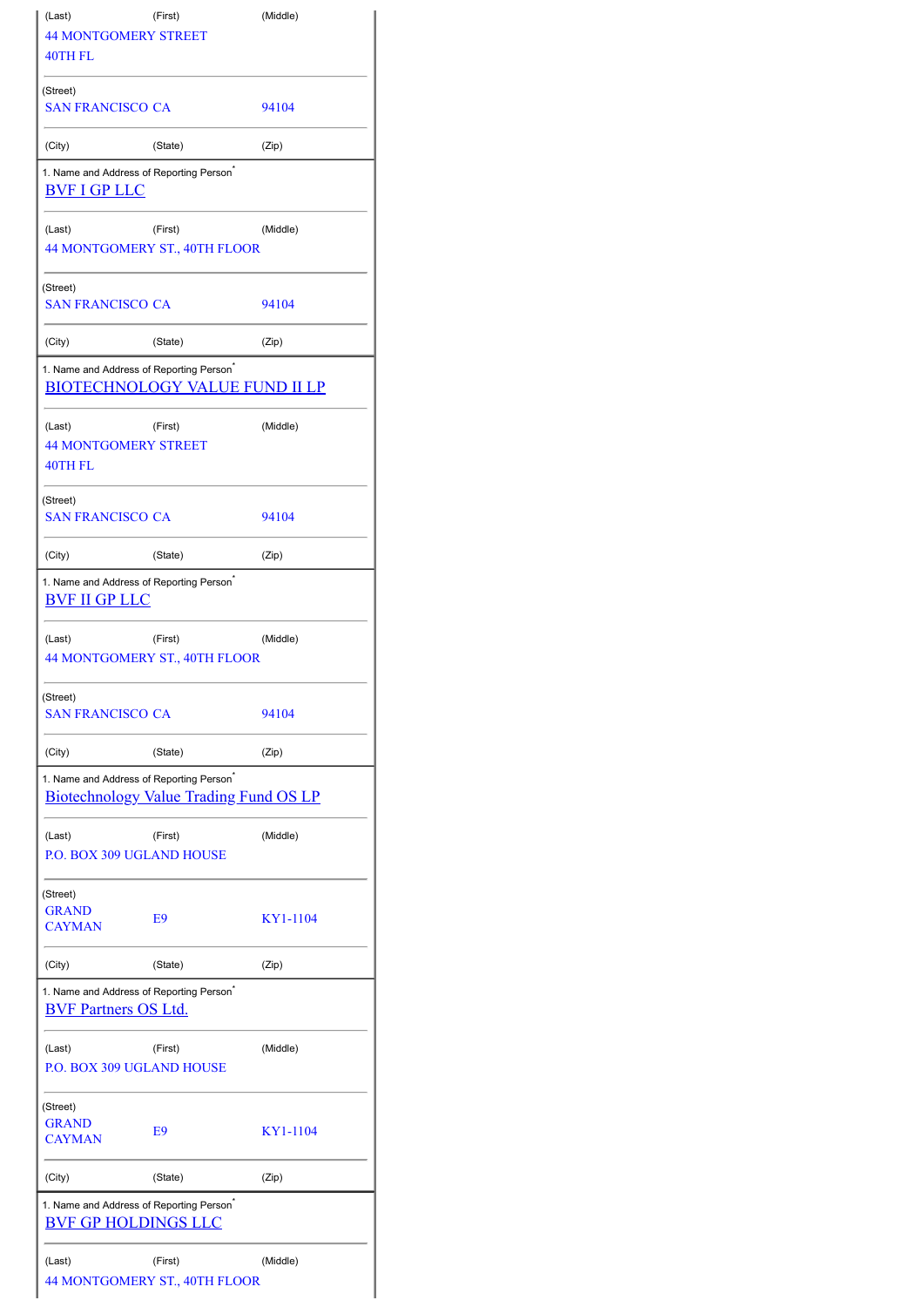| (Last)                                                                              | (First)                                       | (Middle) |  |  |  |
|-------------------------------------------------------------------------------------|-----------------------------------------------|----------|--|--|--|
| <b>44 MONTGOMERY STREET</b>                                                         |                                               |          |  |  |  |
| 40TH FL                                                                             |                                               |          |  |  |  |
| (Street)<br><b>SAN FRANCISCO CA</b>                                                 |                                               | 94104    |  |  |  |
| (City)                                                                              | (State)                                       | (Zip)    |  |  |  |
| 1. Name and Address of Reporting Person <sup>®</sup><br><b>BVF I GP LLC</b>         |                                               |          |  |  |  |
| (Last)                                                                              | (First)<br>44 MONTGOMERY ST., 40TH FLOOR      | (Middle) |  |  |  |
| (Street)<br>SAN FRANCISCO CA                                                        |                                               | 94104    |  |  |  |
| (City)                                                                              | (State)                                       | (Zip)    |  |  |  |
| 1. Name and Address of Reporting Person <sup>*</sup>                                |                                               |          |  |  |  |
|                                                                                     | <b>BIOTECHNOLOGY VALUE FUND II LP</b>         |          |  |  |  |
| (Last)<br><b>44 MONTGOMERY STREET</b><br>40TH FL                                    | (First)                                       | (Middle) |  |  |  |
| (Street)<br><b>SAN FRANCISCO CA</b>                                                 |                                               | 94104    |  |  |  |
| (City)                                                                              | (State)                                       | (Zip)    |  |  |  |
| 1. Name and Address of Reporting Person <sup>®</sup><br><b>BVF II GP LLC</b>        |                                               |          |  |  |  |
| (Last)                                                                              | (First)<br>44 MONTGOMERY ST., 40TH FLOOR      | (Middle) |  |  |  |
| (Street)<br><b>SAN FRANCISCO CA</b>                                                 |                                               | 94104    |  |  |  |
| (City)                                                                              | (State)                                       | (Zip)    |  |  |  |
| 1. Name and Address of Reporting Person <sup>*</sup>                                | <b>Biotechnology Value Trading Fund OS LP</b> |          |  |  |  |
| (Last)<br><b>P.O. BOX 309 UGLAND HOUSE</b>                                          | (First)                                       | (Middle) |  |  |  |
| (Street)<br><b>GRAND</b><br><b>CAYMAN</b>                                           | E9                                            | KY1-1104 |  |  |  |
| (City)                                                                              | (State)                                       | (Zip)    |  |  |  |
| 1. Name and Address of Reporting Person <sup>®</sup><br><b>BVF Partners OS Ltd.</b> |                                               |          |  |  |  |
| (Last)<br><b>P.O. BOX 309 UGLAND HOUSE</b>                                          | (First)                                       | (Middle) |  |  |  |
| (Street)<br><b>GRAND</b><br><b>CAYMAN</b>                                           | E9                                            | KY1-1104 |  |  |  |
| (City)                                                                              | (State)                                       | (Zip)    |  |  |  |
| 1. Name and Address of Reporting Person <sup>*</sup><br><b>BVF GP HOLDINGS LLC</b>  |                                               |          |  |  |  |
| (Last)                                                                              | (First)<br>44 MONTGOMERY ST., 40TH FLOOR      | (Middle) |  |  |  |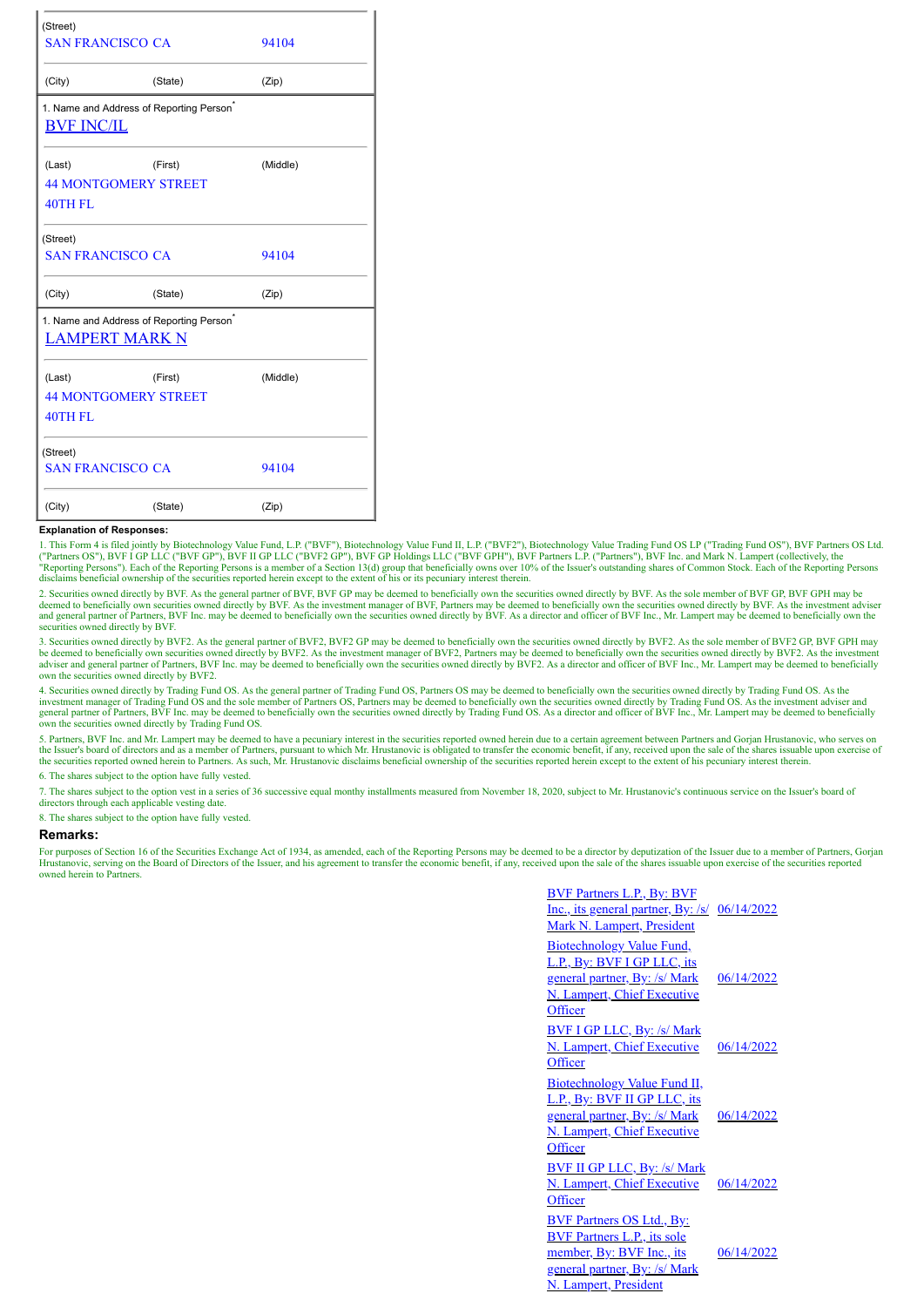| (Street)<br><b>SAN FRANCISCO CA</b>                                           |         | 94104    |  |  |  |  |
|-------------------------------------------------------------------------------|---------|----------|--|--|--|--|
| (City)                                                                        | (State) | (Zip)    |  |  |  |  |
| 1. Name and Address of Reporting Person <sup>®</sup><br><b>BVF INC/IL</b>     |         |          |  |  |  |  |
| (Last)                                                                        | (First) | (Middle) |  |  |  |  |
| <b>44 MONTGOMERY STREET</b>                                                   |         |          |  |  |  |  |
| 40TH FL                                                                       |         |          |  |  |  |  |
| (Street)                                                                      |         |          |  |  |  |  |
| <b>SAN FRANCISCO CA</b>                                                       |         | 94104    |  |  |  |  |
| (City)                                                                        | (State) | (Zip)    |  |  |  |  |
| 1. Name and Address of Reporting Person <sup>®</sup><br><b>LAMPERT MARK N</b> |         |          |  |  |  |  |
| (Last)                                                                        | (First) | (Middle) |  |  |  |  |
| <b>44 MONTGOMERY STREET</b>                                                   |         |          |  |  |  |  |
| 40TH FL                                                                       |         |          |  |  |  |  |
| (Street)                                                                      |         |          |  |  |  |  |
| <b>SAN FRANCISCO CA</b>                                                       |         | 94104    |  |  |  |  |
| (City)                                                                        | (State) | (Zip)    |  |  |  |  |

## **Explanation of Responses:**

1. This Form 4 is filed jointly by Biotechnology Value Fund, L.P. ("BVF"), Biotechnology Value Fund II, L.P. ("BVF2"), Biotechnology Value Trading Fund OS LP ("Trading Fund OS"), BVF Partners OS Ltd. ("Partners OS"), BVF I GP LLC ("BVF GP"), BVF II GP LLC ("BVF2 GP"), BVF GP Holdings LLC ("BVF GPH"), BVF Partners L.P. ("Partners"), BVF Inc. and Mark N. Lampert (collectively, the sucred to a compart), BVF Inc. and Mark

2. Securities owned directly by BVF. As the general partner of BVF, BVF GP may be deemed to beneficially own the securities owned directly by BVF. As the sole member of BVF GP, BVF GPH may be deemed to beneficially own securities owned directly by BVF. As the investment manager of BVF, Partners may be deemed to beneficially own the securities owned directly by BVF. As the investment adviser<br>and general partner securities owned directly by BVF.

3. Securities owned directly by BVF2. As the general partner of BVF2, BVF2 GP may be deemed to beneficially own the securities owned directly by BVF2. As the sole member of BVF2 GP, BVF GPH may<br>be deemed to beneficially ow adviser and general partner of Partners, BVF Inc. may be deemed to beneficially own the securities owned directly by BVF2. As a director and officer of BVF Inc., Mr. Lampert may be deemed to beneficially own the securities

4 Securities owned directly by Trading Fund OS. As the general partner of Trading Fund OS, Partners OS may be deemed to beneficially own the securities owned directly by Trading Fund OS. As the investment manager of Trading Fund OS and the sole member of Partners OS, Partners may be deemed to beneficially own the securities owned directly by Trading Fund OS. As the investment adviser and<br>general partner of Partne own the securities owned directly by Trading Fund OS.

5. Partners, BVF Inc. and Mr. Lampert may be deemed to have a pecuniary interest in the securities reported owned herein due to a certain agreement between Partners and Gorjan Hrustanovic, who serves on<br>the Issuer's board the securities reported owned herein to Partners. As such, Mr. Hrustanovic disclaims beneficial ownership of the securities reported herein except to the extent of his pecuniary interest therein.

6. The shares subject to the option have fully vested.

7. The shares subject to the option vest in a series of 36 successive equal monthy installments measured from November 18, 2020, subject to Mr. Hrustanovic's continuous service on the Issuer's board of directors through each applicable vesting date.

8. The shares subject to the option have fully vested.

## **Remarks:**

For purposes of Section 16 of the Securities Exchange Act of 1934, as amended, each of the Reporting Persons may be deemed to be a director by deputization of the Issuer due to a member of Partners, Gorjan Hrustanovic, serving on the Board of Directors of the Issuer, and his agreement to transfer the economic benefit, if any, received upon the sale of the shares issuable upon exercise of the securities reported owned herein to Partners.

| <b>BVF Partners L.P., By: BVF</b><br><u>Inc., its general partner, By: /s/ 06/14/2022</u><br>Mark N. Lampert, President                                       |            |
|---------------------------------------------------------------------------------------------------------------------------------------------------------------|------------|
| <b>Biotechnology Value Fund,</b><br>L.P., By: BVF I GP LLC, its<br>general partner, By: /s/ Mark<br>N. Lampert, Chief Executive<br>Officer                    | 06/14/2022 |
| <b>BVF I GP LLC, By: /s/ Mark</b><br>N. Lampert, Chief Executive<br>Officer                                                                                   | 06/14/2022 |
| Biotechnology Value Fund II,<br>L.P., By: BVF II GP LLC, its<br>general partner, By: /s/ Mark<br>N. Lampert, Chief Executive<br>Officer                       | 06/14/2022 |
| <b>BVF II GP LLC, By: /s/ Mark</b><br>N. Lampert, Chief Executive<br>Officer                                                                                  | 06/14/2022 |
| <b>BVF Partners OS Ltd., By:</b><br><b>BVF Partners L.P., its sole</b><br>member, By: BVF Inc., its<br>general partner, By: /s/ Mark<br>N. Lampert, President | 06/14/2022 |